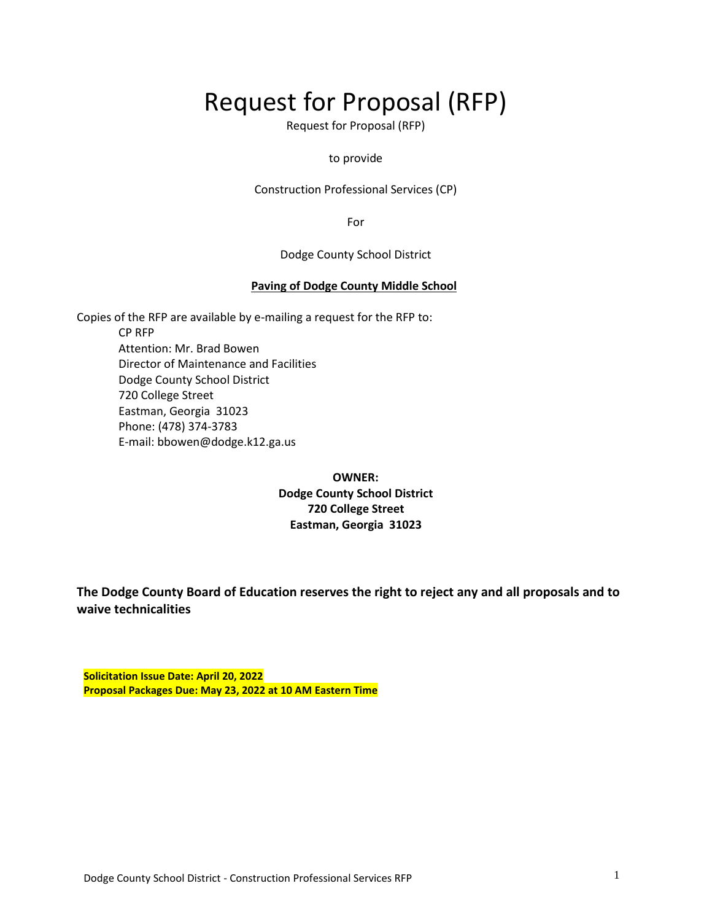# Request for Proposal (RFP)

Request for Proposal (RFP)

#### to provide

Construction Professional Services (CP)

For

Dodge County School District

#### **Paving of Dodge County Middle School**

Copies of the RFP are available by e-mailing a request for the RFP to: CP RFP Attention: Mr. Brad Bowen Director of Maintenance and Facilities Dodge County School District 720 College Street Eastman, Georgia 31023 Phone: (478) 374-3783 E-mail: bbowen@dodge.k12.ga.us

> **OWNER: Dodge County School District 720 College Street Eastman, Georgia 31023**

**The Dodge County Board of Education reserves the right to reject any and all proposals and to waive technicalities**

**Solicitation Issue Date: April 20, 2022 Proposal Packages Due: May 23, 2022 at 10 AM Eastern Time**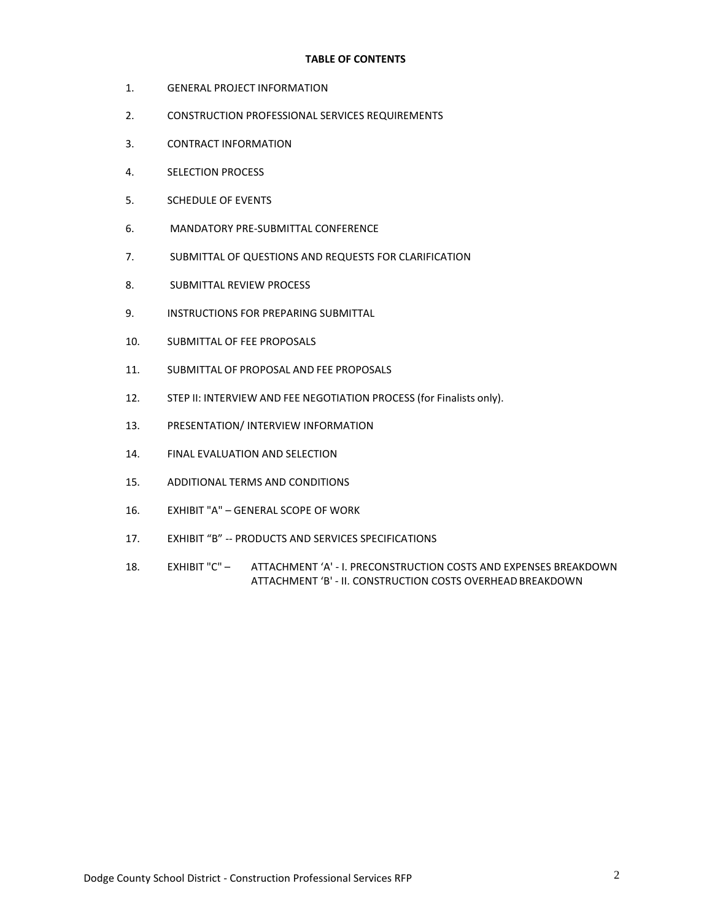#### **TABLE OF CONTENTS**

- 1. GENERAL PROJECT INFORMATION
- 2. CONSTRUCTION PROFESSIONAL SERVICES REQUIREMENTS
- 3. CONTRACT INFORMATION
- 4. SELECTION PROCESS
- 5. SCHEDULE OF EVENTS
- 6. MANDATORY PRE-SUBMITTAL CONFERENCE
- 7. SUBMITTAL OF QUESTIONS AND REQUESTS FOR CLARIFICATION
- 8. SUBMITTAL REVIEW PROCESS
- 9. INSTRUCTIONS FOR PREPARING SUBMITTAL
- 10. SUBMITTAL OF FEE PROPOSALS
- 11. SUBMITTAL OF PROPOSAL AND FEE PROPOSALS
- 12. STEP II: INTERVIEW AND FEE NEGOTIATION PROCESS (for Finalists only).
- 13. PRESENTATION/ INTERVIEW INFORMATION
- 14. FINAL EVALUATION AND SELECTION
- 15. ADDITIONAL TERMS AND CONDITIONS
- 16. EXHIBIT "A" GENERAL SCOPE OF WORK
- 17. EXHIBIT "B" -- PRODUCTS AND SERVICES SPECIFICATIONS
- 18. EXHIBIT "C" ATTACHMENT 'A' I. PRECONSTRUCTION COSTS AND EXPENSES BREAKDOWN ATTACHMENT 'B' - II. CONSTRUCTION COSTS OVERHEAD BREAKDOWN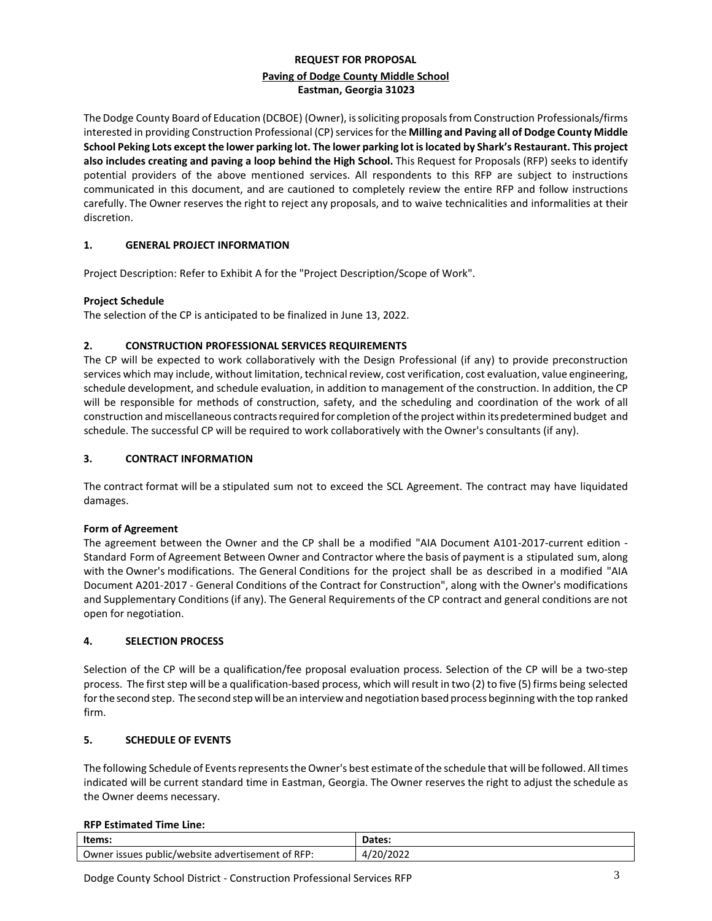# **REQUEST FOR PROPOSAL Paving of Dodge County Middle School Eastman, Georgia 31023**

The Dodge County Board of Education (DCBOE) (Owner), is soliciting proposals from Construction Professionals/firms interested in providing Construction Professional (CP) services for the **Milling and Paving all of Dodge County Middle School Peking Lots except the lower parking lot. The lower parking lot is located by Shark's Restaurant. This project also includes creating and paving a loop behind the High School.** This Request for Proposals (RFP) seeks to identify potential providers of the above mentioned services. All respondents to this RFP are subject to instructions communicated in this document, and are cautioned to completely review the entire RFP and follow instructions carefully. The Owner reserves the right to reject any proposals, and to waive technicalities and informalities at their discretion.

# **1. GENERAL PROJECT INFORMATION**

Project Description: Refer to Exhibit A for the "Project Description/Scope of Work".

# **Project Schedule**

The selection of the CP is anticipated to be finalized in June 13, 2022.

# **2. CONSTRUCTION PROFESSIONAL SERVICES REQUIREMENTS**

The CP will be expected to work collaboratively with the Design Professional (if any) to provide preconstruction services which may include, without limitation, technical review, cost verification, cost evaluation, value engineering, schedule development, and schedule evaluation, in addition to management of the construction. In addition, the CP will be responsible for methods of construction, safety, and the scheduling and coordination of the work of all construction and miscellaneous contractsrequired for completion ofthe project within itspredetermined budget and schedule. The successful CP will be required to work collaboratively with the Owner's consultants (if any).

#### **3. CONTRACT INFORMATION**

The contract format will be a stipulated sum not to exceed the SCL Agreement. The contract may have liquidated damages.

#### **Form of Agreement**

The agreement between the Owner and the CP shall be a modified "AIA Document A101-2017-current edition - Standard Form of Agreement Between Owner and Contractor where the basis of payment is a stipulated sum, along with the Owner's modifications. The General Conditions for the project shall be as described in a modified "AIA Document A201-2017 - General Conditions of the Contract for Construction", along with the Owner's modifications and Supplementary Conditions (if any). The General Requirements of the CP contract and general conditions are not open for negotiation.

#### **4. SELECTION PROCESS**

Selection of the CP will be a qualification/fee proposal evaluation process. Selection of the CP will be a two-step process. The first step will be a qualification-based process, which will result in two (2) to five (5) firms being selected forthe second step. The second step will be an interviewand negotiation based process beginning with the top ranked firm.

#### **5. SCHEDULE OF EVENTS**

The following Schedule of Events represents the Owner's best estimate of the schedule that will be followed. All times indicated will be current standard time in Eastman, Georgia. The Owner reserves the right to adjust the schedule as the Owner deems necessary.

#### **RFP Estimated Time Line:**

| Items:                                            | Dates:    |
|---------------------------------------------------|-----------|
| Owner issues public/website advertisement of RFP: | 4/20/2022 |

Dodge County School District - Construction Professional Services RFP<br>
3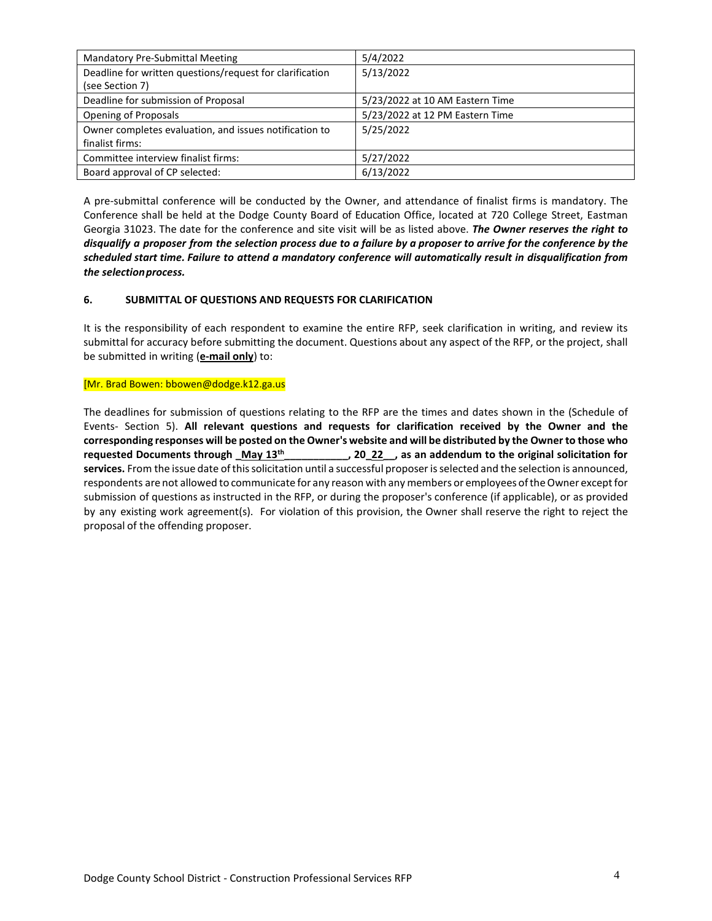| <b>Mandatory Pre-Submittal Meeting</b>                   | 5/4/2022                        |
|----------------------------------------------------------|---------------------------------|
| Deadline for written questions/request for clarification | 5/13/2022                       |
| (see Section 7)                                          |                                 |
| Deadline for submission of Proposal                      | 5/23/2022 at 10 AM Eastern Time |
| Opening of Proposals                                     | 5/23/2022 at 12 PM Eastern Time |
| Owner completes evaluation, and issues notification to   | 5/25/2022                       |
| finalist firms:                                          |                                 |
| Committee interview finalist firms:                      | 5/27/2022                       |
| Board approval of CP selected:                           | 6/13/2022                       |

A pre-submittal conference will be conducted by the Owner, and attendance of finalist firms is mandatory. The Conference shall be held at the Dodge County Board of Education Office, located at 720 College Street, Eastman Georgia 31023. The date for the conference and site visit will be as listed above. *The Owner reserves the right to*  disqualify a proposer from the selection process due to a failure by a proposer to arrive for the conference by the *scheduled start time. Failure to attend a mandatory conference will automatically result in disqualification from the selectionprocess.*

#### **6. SUBMITTAL OF QUESTIONS AND REQUESTS FOR CLARIFICATION**

It is the responsibility of each respondent to examine the entire RFP, seek clarification in writing, and review its submittal for accuracy before submitting the document. Questions about any aspect of the RFP, or the project, shall be submitted in writing (**e-mail only**) to:

#### [Mr. Brad Bowen: bbowen@dodge.k12.ga.us

The deadlines for submission of questions relating to the RFP are the times and dates shown in the (Schedule of Events- Section 5). **All relevant questions and requests for clarification received by the Owner and the**  corresponding responses will be posted on the Owner's website and will be distributed by the Owner to those who **requested Documents through \_May 13th\_\_\_\_\_\_\_\_\_\_\_, 20\_22\_\_, as an addendum to the original solicitation for services.** From the issue date ofthissolicitation until a successful proposerisselected and the selection is announced, respondents are not allowed to communicate for any reason with any members or employees of the Owner except for submission of questions as instructed in the RFP, or during the proposer's conference (if applicable), or as provided by any existing work agreement(s). For violation of this provision, the Owner shall reserve the right to reject the proposal of the offending proposer.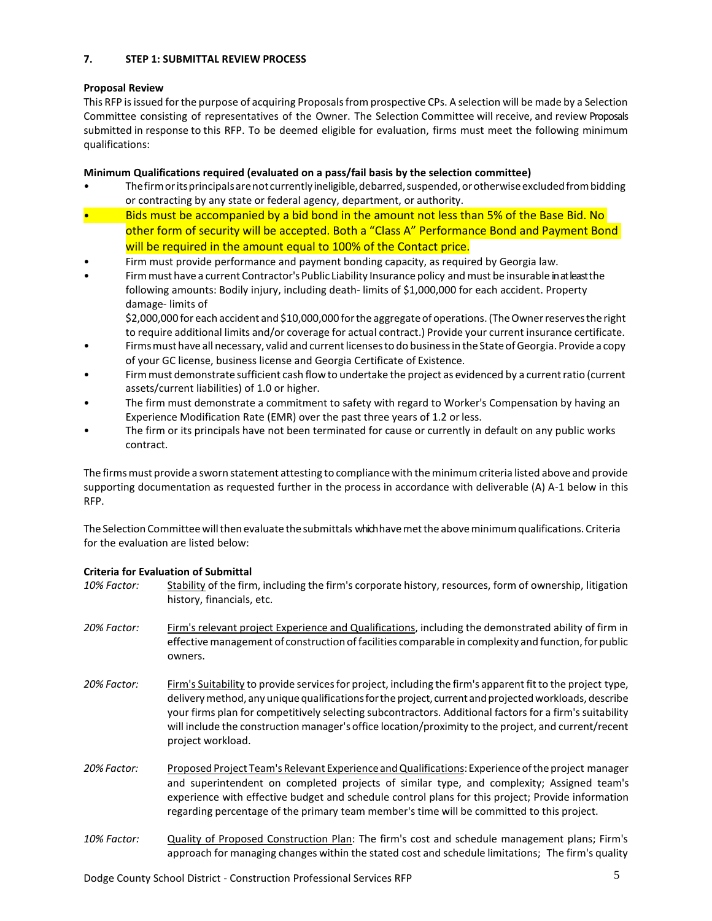#### **7. STEP 1: SUBMITTAL REVIEW PROCESS**

#### **Proposal Review**

This RFP is issued for the purpose of acquiring Proposals from prospective CPs. A selection will be made by a Selection Committee consisting of representatives of the Owner. The Selection Committee will receive, and review Proposals submitted in response to this RFP. To be deemed eligible for evaluation, firms must meet the following minimum qualifications:

#### **Minimum Qualifications required (evaluated on a pass/fail basis by the selection committee)**

- The firm or its principals are not currently ineligible, debarred, suspended, or otherwise excluded from bidding or contracting by any state or federal agency, department, or authority.
- Bids must be accompanied by a bid bond in the amount not less than 5% of the Base Bid. No other form of security will be accepted. Both a "Class A" Performance Bond and Payment Bond will be required in the amount equal to 100% of the Contact price.
- Firm must provide performance and payment bonding capacity, as required by Georgia law.
- Firm must have a current Contractor's Public Liability Insurance policy and must be insurable in at least the following amounts: Bodily injury, including death- limits of \$1,000,000 for each accident. Property damage- limits of \$2,000,000 for each accident and \$10,000,000 forthe aggregateofoperations.(TheOwnerreservesthe right to require additional limits and/or coverage for actual contract.) Provide your current insurance certificate.
- Firms must have all necessary, valid and current licenses to do business in the State of Georgia. Provide a copy of your GC license, business license and Georgia Certificate of Existence.
- Firm must demonstrate sufficient cash flow to undertake the project as evidenced by a current ratio (current assets/current liabilities) of 1.0 or higher.
- The firm must demonstrate a commitment to safety with regard to Worker's Compensation by having an Experience Modification Rate (EMR) over the past three years of 1.2 orless.
- The firm or its principals have not been terminated for cause or currently in default on any public works contract.

The firms must provide a sworn statement attesting to compliance with the minimum criteria listed above and provide supporting documentation as requested further in the process in accordance with deliverable (A) A-1 below in this RFP.

The Selection Committee will then evaluate the submittals which have met the above minimum qualifications. Criteria for the evaluation are listed below:

# **Criteria for Evaluation of Submittal**

- *10% Factor:* Stability of the firm, including the firm's corporate history, resources, form of ownership, litigation history, financials, etc. *20% Factor:* Firm's relevant project Experience and Qualifications, including the demonstrated ability of firm in effective management of construction of facilities comparable in complexity and function, for public owners. 20% *Factor:* Firm's Suitability to provide services for project, including the firm's apparent fit to the project type,
- delivery method, any unique qualifications for the project, current and projected workloads, describe your firms plan for competitively selecting subcontractors. Additional factors for a firm's suitability will include the construction manager's office location/proximity to the project, and current/recent project workload.
- 20% Factor: Proposed Project Team's Relevant Experience and Qualifications: Experience of the project manager and superintendent on completed projects of similar type, and complexity; Assigned team's experience with effective budget and schedule control plans for this project; Provide information regarding percentage of the primary team member's time will be committed to this project.
- *10% Factor:* Quality of Proposed Construction Plan: The firm's cost and schedule management plans; Firm's approach for managing changes within the stated cost and schedule limitations; The firm's quality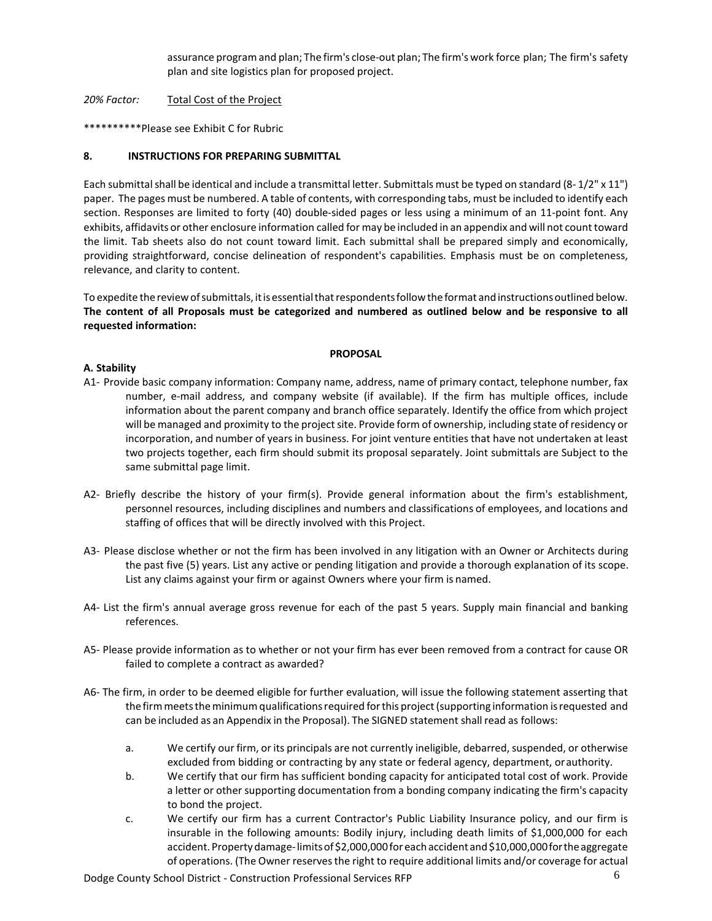assurance programand plan; The firm's close-out plan; The firm's work force plan; The firm's safety plan and site logistics plan for proposed project.

*20% Factor:* Total Cost of the Project

\*\*\*\*\*\*\*\*\*\*Please see Exhibit C for Rubric

#### **8. INSTRUCTIONS FOR PREPARING SUBMITTAL**

Each submittal shall be identical and include a transmittal letter. Submittals must be typed on standard (8-1/2" x 11") paper. The pages must be numbered. A table of contents, with corresponding tabs, must be included to identify each section. Responses are limited to forty (40) double-sided pages or less using a minimum of an 11-point font. Any exhibits, affidavits or other enclosure information called for may be included in an appendix and will not count toward the limit. Tab sheets also do not count toward limit. Each submittal shall be prepared simply and economically, providing straightforward, concise delineation of respondent's capabilities. Emphasis must be on completeness, relevance, and clarity to content.

To expedite the reviewofsubmittals, itis essentialthatrespondentsfollowtheformat andinstructionsoutlined below. **The content of all Proposals must be categorized and numbered as outlined below and be responsive to all requested information:**

#### **PROPOSAL**

#### **A. Stability**

- A1- Provide basic company information: Company name, address, name of primary contact, telephone number, fax number, e-mail address, and company website (if available). If the firm has multiple offices, include information about the parent company and branch office separately. Identify the office from which project will be managed and proximity to the project site. Provide form of ownership, including state of residency or incorporation, and number of yearsin business. For joint venture entities that have not undertaken at least two projects together, each firm should submit its proposal separately. Joint submittals are Subject to the same submittal page limit.
- A2- Briefly describe the history of your firm(s). Provide general information about the firm's establishment, personnel resources, including disciplines and numbers and classifications of employees, and locations and staffing of offices that will be directly involved with this Project.
- A3- Please disclose whether or not the firm has been involved in any litigation with an Owner or Architects during the past five (5) years. List any active or pending litigation and provide a thorough explanation of its scope. List any claims against your firm or against Owners where your firm is named.
- A4- List the firm's annual average gross revenue for each of the past 5 years. Supply main financial and banking references.
- A5- Please provide information as to whether or not your firm has ever been removed from a contract for cause OR failed to complete a contract as awarded?
- A6- The firm, in order to be deemed eligible for further evaluation, will issue the following statement asserting that the firm meets the minimum qualifications required for this project (supporting information is requested and can be included as an Appendix in the Proposal). The SIGNED statement shall read as follows:
	- a. We certify our firm, or its principals are not currently ineligible, debarred, suspended, or otherwise excluded from bidding or contracting by any state or federal agency, department, orauthority.
	- b. We certify that our firm has sufficient bonding capacity for anticipated total cost of work. Provide a letter or other supporting documentation from a bonding company indicating the firm's capacity to bond the project.
	- c. We certify our firm has a current Contractor's Public Liability Insurance policy, and our firm is insurable in the following amounts: Bodily injury, including death limits of \$1,000,000 for each accident. Property damage-limits of \$2,000,000 for each accident and \$10,000,000 for the aggregate of operations. (The Owner reservesthe right to require additional limits and/or coverage for actual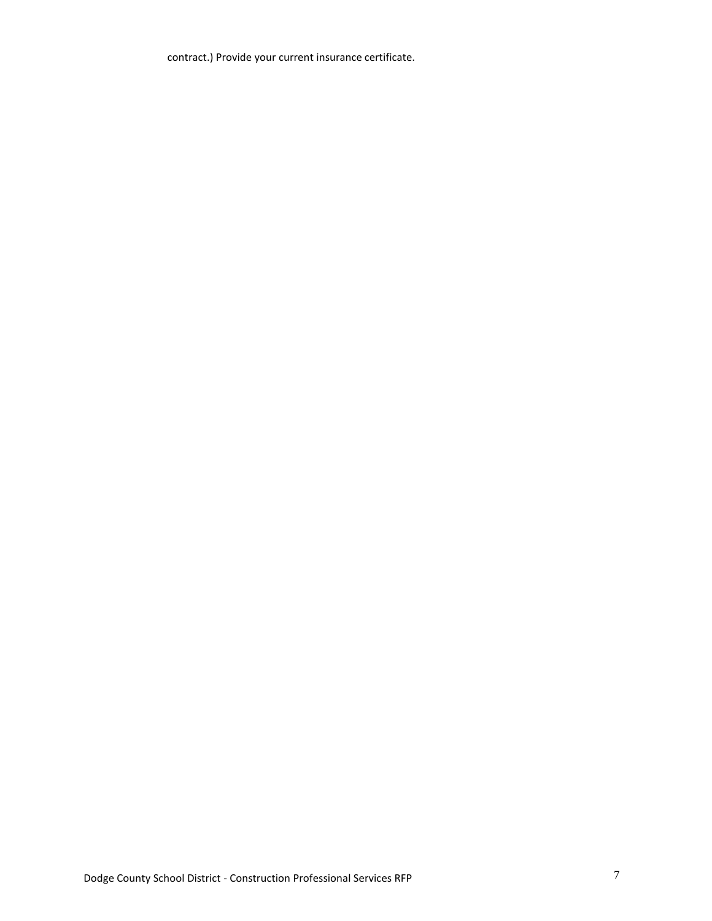contract.) Provide your current insurance certificate.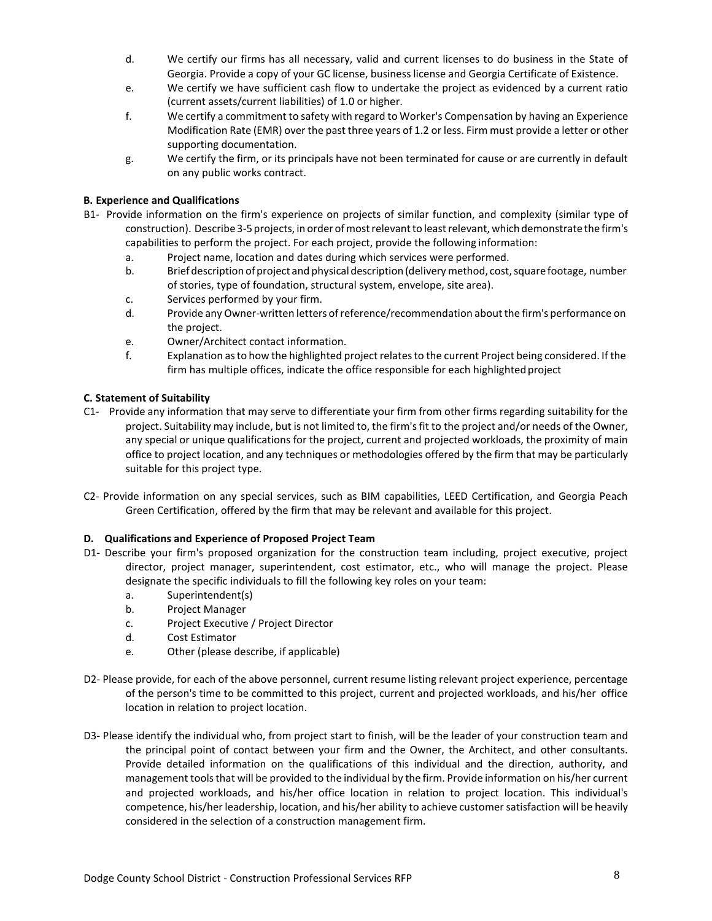- d. We certify our firms has all necessary, valid and current licenses to do business in the State of Georgia. Provide a copy of your GC license, business license and Georgia Certificate of Existence.
- e. We certify we have sufficient cash flow to undertake the project as evidenced by a current ratio (current assets/current liabilities) of 1.0 or higher.
- f. We certify a commitment to safety with regard to Worker's Compensation by having an Experience Modification Rate (EMR) over the past three years of 1.2 or less. Firm must provide a letter or other supporting documentation.
- g. We certify the firm, or its principals have not been terminated for cause or are currently in default on any public works contract.

# **B. Experience and Qualifications**

- B1- Provide information on the firm's experience on projects of similar function, and complexity (similar type of construction). Describe 3-5 projects, in order of most relevant to least relevant, which demonstrate the firm's capabilities to perform the project. For each project, provide the following information:
	- a. Project name, location and dates during which services were performed.
	- b. Brief description of project and physical description (delivery method, cost, square footage, number of stories, type of foundation, structural system, envelope, site area).
	- c. Services performed by your firm.
	- d. Provide any Owner-written letters ofreference/recommendation aboutthe firm's performance on the project.
	- e. Owner/Architect contact information.
	- f. Explanation asto how the highlighted project relatesto the current Project being considered. If the firm has multiple offices, indicate the office responsible for each highlighted project

#### **C. Statement of Suitability**

- C1- Provide any information that may serve to differentiate your firm from other firms regarding suitability for the project. Suitability may include, but is not limited to, the firm's fit to the project and/or needs of the Owner, any special or unique qualifications for the project, current and projected workloads, the proximity of main office to project location, and any techniques or methodologies offered by the firm that may be particularly suitable for this project type.
- C2- Provide information on any special services, such as BIM capabilities, LEED Certification, and Georgia Peach Green Certification, offered by the firm that may be relevant and available for this project.

#### **D. Qualifications and Experience of Proposed Project Team**

- D1- Describe your firm's proposed organization for the construction team including, project executive, project director, project manager, superintendent, cost estimator, etc., who will manage the project. Please designate the specific individuals to fill the following key roles on your team:
	- a. Superintendent(s)
	- b. Project Manager
	- c. Project Executive / Project Director
	- d. Cost Estimator
	- e. Other (please describe, if applicable)
- D2- Please provide, for each of the above personnel, current resume listing relevant project experience, percentage of the person's time to be committed to this project, current and projected workloads, and his/her office location in relation to project location.
- D3- Please identify the individual who, from project start to finish, will be the leader of your construction team and the principal point of contact between your firm and the Owner, the Architect, and other consultants. Provide detailed information on the qualifications of this individual and the direction, authority, and management toolsthat will be provided to the individual by the firm. Provide information on his/her current and projected workloads, and his/her office location in relation to project location. This individual's competence, his/her leadership, location, and his/her ability to achieve customer satisfaction will be heavily considered in the selection of a construction management firm.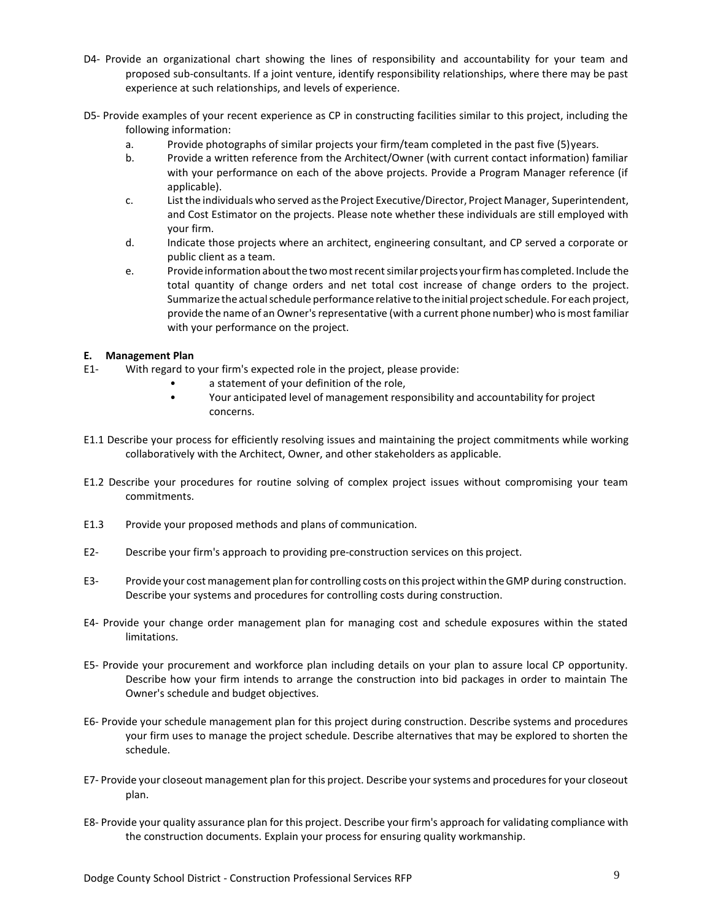- D4- Provide an organizational chart showing the lines of responsibility and accountability for your team and proposed sub-consultants. If a joint venture, identify responsibility relationships, where there may be past experience at such relationships, and levels of experience.
- D5- Provide examples of your recent experience as CP in constructing facilities similar to this project, including the following information:
	- a. Provide photographs of similar projects your firm/team completed in the past five (5)years.
	- b. Provide a written reference from the Architect/Owner (with current contact information) familiar with your performance on each of the above projects. Provide a Program Manager reference (if applicable).
	- c. Listthe individuals who served asthe Project Executive/Director, Project Manager, Superintendent, and Cost Estimator on the projects. Please note whether these individuals are still employed with your firm.
	- d. Indicate those projects where an architect, engineering consultant, and CP served a corporate or public client as a team.
	- e. Provideinformation aboutthe twomostrecentsimilar projects yourfirmhas completed. Include the total quantity of change orders and net total cost increase of change orders to the project. Summarize the actual schedule performance relative to the initial project schedule. For each project, provide the name of an Owner's representative (with a current phone number) who is most familiar with your performance on the project.

# **E. Management Plan**

- E1- With regard to your firm's expected role in the project, please provide:
	- a statement of your definition of the role,
	- Your anticipated level of management responsibility and accountability for project concerns.
- E1.1 Describe your process for efficiently resolving issues and maintaining the project commitments while working collaboratively with the Architect, Owner, and other stakeholders as applicable.
- E1.2 Describe your procedures for routine solving of complex project issues without compromising your team commitments.
- E1.3 Provide your proposed methods and plans of communication.
- E2- Describe your firm's approach to providing pre-construction services on this project.
- E3- Provide your cost management plan for controlling costs on this project within theGMP during construction. Describe your systems and procedures for controlling costs during construction.
- E4- Provide your change order management plan for managing cost and schedule exposures within the stated limitations.
- E5- Provide your procurement and workforce plan including details on your plan to assure local CP opportunity. Describe how your firm intends to arrange the construction into bid packages in order to maintain The Owner's schedule and budget objectives.
- E6- Provide your schedule management plan for this project during construction. Describe systems and procedures your firm uses to manage the project schedule. Describe alternatives that may be explored to shorten the schedule.
- E7- Provide your closeout management plan for this project. Describe your systems and procedures for your closeout plan.
- E8- Provide your quality assurance plan for this project. Describe your firm's approach for validating compliance with the construction documents. Explain your process for ensuring quality workmanship.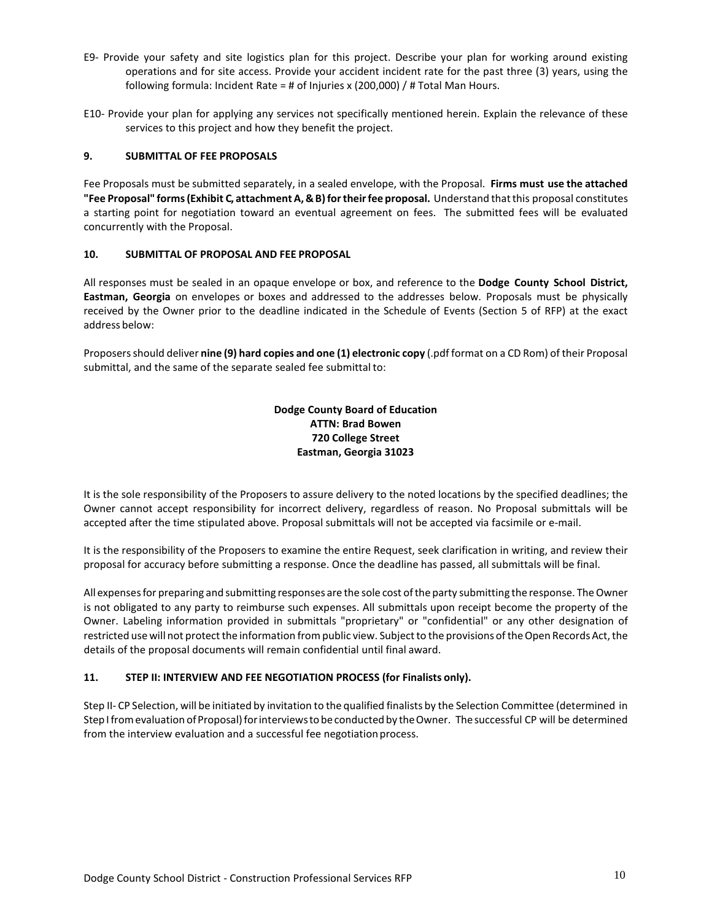- E9- Provide your safety and site logistics plan for this project. Describe your plan for working around existing operations and for site access. Provide your accident incident rate for the past three (3) years, using the following formula: Incident Rate = # of Injuries x (200,000) / # Total Man Hours.
- E10- Provide your plan for applying any services not specifically mentioned herein. Explain the relevance of these services to this project and how they benefit the project.

#### **9. SUBMITTAL OF FEE PROPOSALS**

Fee Proposals must be submitted separately, in a sealed envelope, with the Proposal. **Firms must use the attached "Fee Proposal" forms(Exhibit C, attachment A,&B)fortheirfee proposal.** Understand thatthis proposal constitutes a starting point for negotiation toward an eventual agreement on fees. The submitted fees will be evaluated concurrently with the Proposal.

#### **10. SUBMITTAL OF PROPOSAL AND FEE PROPOSAL**

All responses must be sealed in an opaque envelope or box, and reference to the **Dodge County School District, Eastman, Georgia** on envelopes or boxes and addressed to the addresses below. Proposals must be physically received by the Owner prior to the deadline indicated in the Schedule of Events (Section 5 of RFP) at the exact address below:

Proposersshould deliver **nine (9) hard copies and one (1) electronic copy** (.pdf format on a CD Rom) of their Proposal submittal, and the same of the separate sealed fee submittal to:

# **Dodge County Board of Education ATTN: Brad Bowen 720 College Street Eastman, Georgia 31023**

It is the sole responsibility of the Proposers to assure delivery to the noted locations by the specified deadlines; the Owner cannot accept responsibility for incorrect delivery, regardless of reason. No Proposal submittals will be accepted after the time stipulated above. Proposal submittals will not be accepted via facsimile or e-mail.

It is the responsibility of the Proposers to examine the entire Request, seek clarification in writing, and review their proposal for accuracy before submitting a response. Once the deadline has passed, all submittals will be final.

All expensesfor preparing and submitting responses are the sole cost ofthe party submitting the response. TheOwner is not obligated to any party to reimburse such expenses. All submittals upon receipt become the property of the Owner. Labeling information provided in submittals "proprietary" or "confidential" or any other designation of restricted use will not protect the information from public view. Subject to the provisions of the Open Records Act, the details of the proposal documents will remain confidential until final award.

#### **11. STEP II: INTERVIEW AND FEE NEGOTIATION PROCESS (for Finalists only).**

Step II- CP Selection, will be initiated by invitation to the qualified finalists by the Selection Committee (determined in Step I from evaluation of Proposal) for interviews to be conducted by the Owner. The successful CP will be determined from the interview evaluation and a successful fee negotiation process.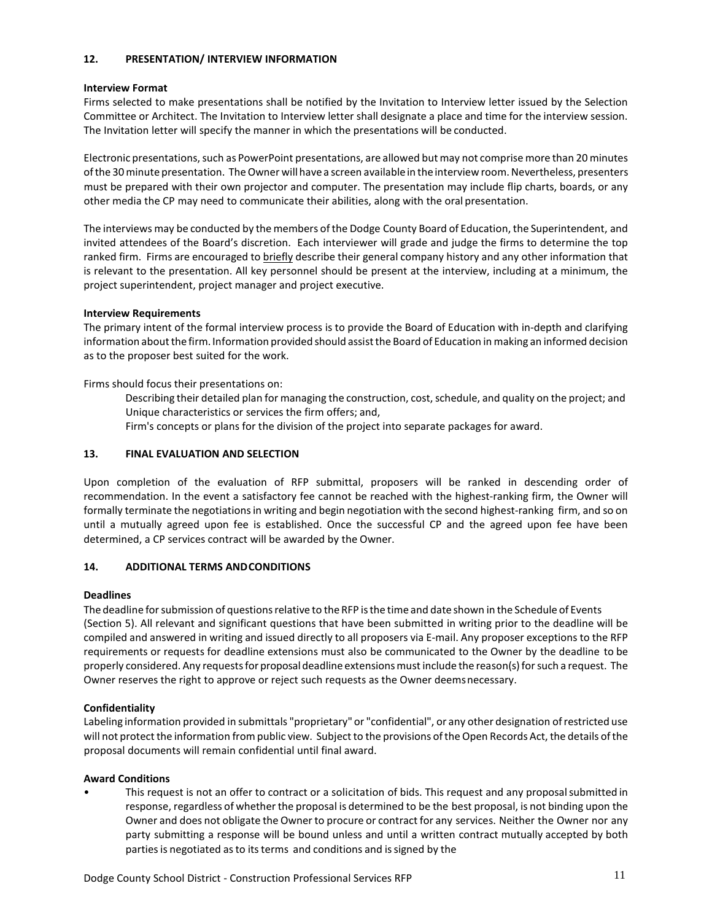#### **12. PRESENTATION/ INTERVIEW INFORMATION**

#### **Interview Format**

Firms selected to make presentations shall be notified by the Invitation to Interview letter issued by the Selection Committee or Architect. The Invitation to Interview letter shall designate a place and time for the interview session. The Invitation letter will specify the manner in which the presentations will be conducted.

Electronic presentations, such as PowerPoint presentations, are allowed but may not comprise more than 20 minutes of the 30 minute presentation. The Owner will have a screen available in the interview room. Nevertheless, presenters must be prepared with their own projector and computer. The presentation may include flip charts, boards, or any other media the CP may need to communicate their abilities, along with the oral presentation.

The interviews may be conducted by the members of the Dodge County Board of Education, the Superintendent, and invited attendees of the Board's discretion. Each interviewer will grade and judge the firms to determine the top ranked firm. Firms are encouraged to briefly describe their general company history and any other information that is relevant to the presentation. All key personnel should be present at the interview, including at a minimum, the project superintendent, project manager and project executive.

#### **Interview Requirements**

The primary intent of the formal interview process is to provide the Board of Education with in-depth and clarifying information aboutthe firm. Information provided should assistthe Board of Education in making an informed decision as to the proposer best suited for the work.

Firms should focus their presentations on:

Describing their detailed plan for managing the construction, cost, schedule, and quality on the project; and Unique characteristics or services the firm offers; and, Firm's concepts or plans for the division of the project into separate packages for award.

#### **13. FINAL EVALUATION AND SELECTION**

Upon completion of the evaluation of RFP submittal, proposers will be ranked in descending order of recommendation. In the event a satisfactory fee cannot be reached with the highest-ranking firm, the Owner will formally terminate the negotiations in writing and begin negotiation with the second highest-ranking firm, and so on until a mutually agreed upon fee is established. Once the successful CP and the agreed upon fee have been determined, a CP services contract will be awarded by the Owner.

#### **14. ADDITIONAL TERMS ANDCONDITIONS**

#### **Deadlines**

The deadline for submission of questions relative to the RFP is the time and date shown in the Schedule of Events (Section 5). All relevant and significant questions that have been submitted in writing prior to the deadline will be compiled and answered in writing and issued directly to all proposers via E-mail. Any proposer exceptions to the RFP requirements or requests for deadline extensions must also be communicated to the Owner by the deadline to be properly considered. Any requests for proposal deadline extensions must include the reason(s) for such a request. The Owner reserves the right to approve or reject such requests as the Owner deemsnecessary.

#### **Confidentiality**

Labeling information provided in submittals "proprietary" or "confidential", or any other designation ofrestricted use will not protect the information from public view. Subject to the provisions of the Open Records Act, the details of the proposal documents will remain confidential until final award.

#### **Award Conditions**

• This request is not an offer to contract or a solicitation of bids. This request and any proposalsubmitted in response, regardless of whether the proposal is determined to be the best proposal, is not binding upon the Owner and does not obligate the Owner to procure or contract for any services. Neither the Owner nor any party submitting a response will be bound unless and until a written contract mutually accepted by both parties is negotiated as to its terms and conditions and is signed by the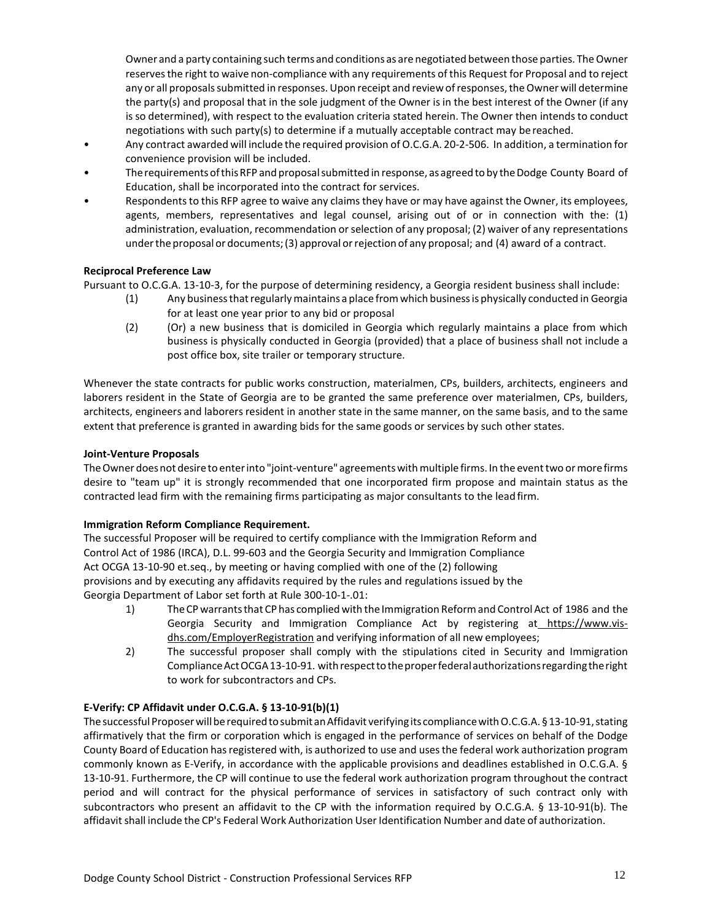Owner and a party containing such terms and conditions as are negotiated between those parties. TheOwner reservesthe right to waive non-compliance with any requirements of this Request for Proposal and to reject any or all proposals submitted in responses. Upon receipt and review of responses, the Owner will determine the party(s) and proposal that in the sole judgment of the Owner is in the best interest of the Owner (if any is so determined), with respect to the evaluation criteria stated herein. The Owner then intends to conduct negotiations with such party(s) to determine if a mutually acceptable contract may be reached.

- Any contract awarded will include the required provision of O.C.G.A. 20-2-506. In addition, a termination for convenience provision will be included.
- The requirements of this RFP and proposal submitted in response, as agreed to by the Dodge County Board of Education, shall be incorporated into the contract for services.
- Respondents to this RFP agree to waive any claims they have or may have against the Owner, its employees, agents, members, representatives and legal counsel, arising out of or in connection with the: (1) administration, evaluation, recommendation orselection of any proposal; (2) waiver of any representations undertheproposal or documents;(3) approval orrejection of any proposal; and (4) award of a contract.

#### **Reciprocal Preference Law**

Pursuant to O.C.G.A. 13-10-3, for the purpose of determining residency, a Georgia resident business shall include:

- (1) Any businessthatregularlymaintains a place fromwhich businessis physically conducted in Georgia for at least one year prior to any bid or proposal
- (2) (Or) a new business that is domiciled in Georgia which regularly maintains a place from which business is physically conducted in Georgia (provided) that a place of business shall not include a post office box, site trailer or temporary structure.

Whenever the state contracts for public works construction, materialmen, CPs, builders, architects, engineers and laborers resident in the State of Georgia are to be granted the same preference over materialmen, CPs, builders, architects, engineers and laborers resident in another state in the same manner, on the same basis, and to the same extent that preference is granted in awarding bids for the same goods or services by such other states.

# **Joint-Venture Proposals**

TheOwner doesnot desireto enterinto "joint-venture"agreementswithmultiple firms. In the eventtwo ormorefirms desire to "team up" it is strongly recommended that one incorporated firm propose and maintain status as the contracted lead firm with the remaining firms participating as major consultants to the lead firm.

# **Immigration Reform Compliance Requirement.**

The successful Proposer will be required to certify compliance with the Immigration Reform and Control Act of 1986 (IRCA), D.L. 99-603 and the Georgia Security and Immigration Compliance Act OCGA 13-10-90 et.seq., by meeting or having complied with one of the (2) following provisions and by executing any affidavits required by the rules and regulations issued by the Georgia Department of Labor set forth at Rule 300-10-1-.01:

- 1) The CP warrants that CP has complied with the Immigration Reform and Control Act of 1986 and the Georgia Security and Immigration Compliance Act by registering at https:/[/www.vis](http://www.vis-dhs.com/EmployerRegistration)[dhs.com/EmployerRegistration](http://www.vis-dhs.com/EmployerRegistration) and verifying information of all new employees;
- 2) The successful proposer shall comply with the stipulations cited in Security and Immigration Compliance Act OCGA13-10-91. with respect to the proper federal authorizations regarding the right to work for subcontractors and CPs.

# **E-Verify: CP Affidavit under O.C.G.A. § 13-10-91(b)(1)**

The successful Proposer will be required to submit an Affidavit verifying its compliance with O.C.G.A. §13-10-91, stating affirmatively that the firm or corporation which is engaged in the performance of services on behalf of the Dodge County Board of Education hasregistered with, is authorized to use and usesthe federal work authorization program commonly known as E-Verify, in accordance with the applicable provisions and deadlines established in O.C.G.A. § 13-10-91. Furthermore, the CP will continue to use the federal work authorization program throughout the contract period and will contract for the physical performance of services in satisfactory of such contract only with subcontractors who present an affidavit to the CP with the information required by O.C.G.A. § 13-10-91(b). The affidavit shall include the CP's Federal Work Authorization User Identification Number and date of authorization.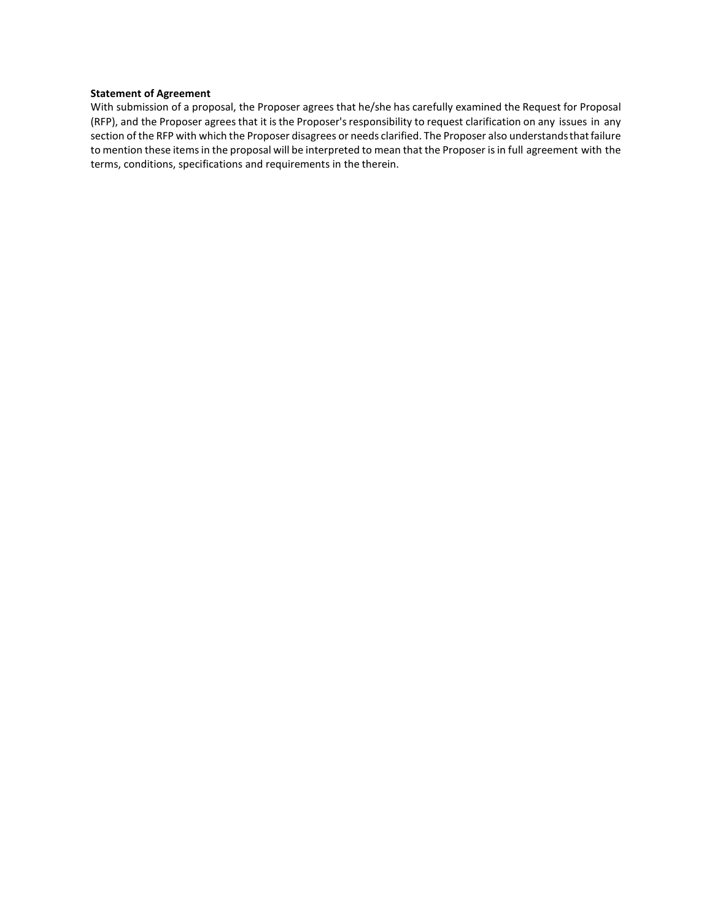#### **Statement of Agreement**

With submission of a proposal, the Proposer agrees that he/she has carefully examined the Request for Proposal (RFP), and the Proposer agrees that it is the Proposer's responsibility to request clarification on any issues in any section of the RFP with which the Proposer disagrees or needs clarified. The Proposer also understandsthatfailure to mention these items in the proposal will be interpreted to mean that the Proposer is in full agreement with the terms, conditions, specifications and requirements in the therein.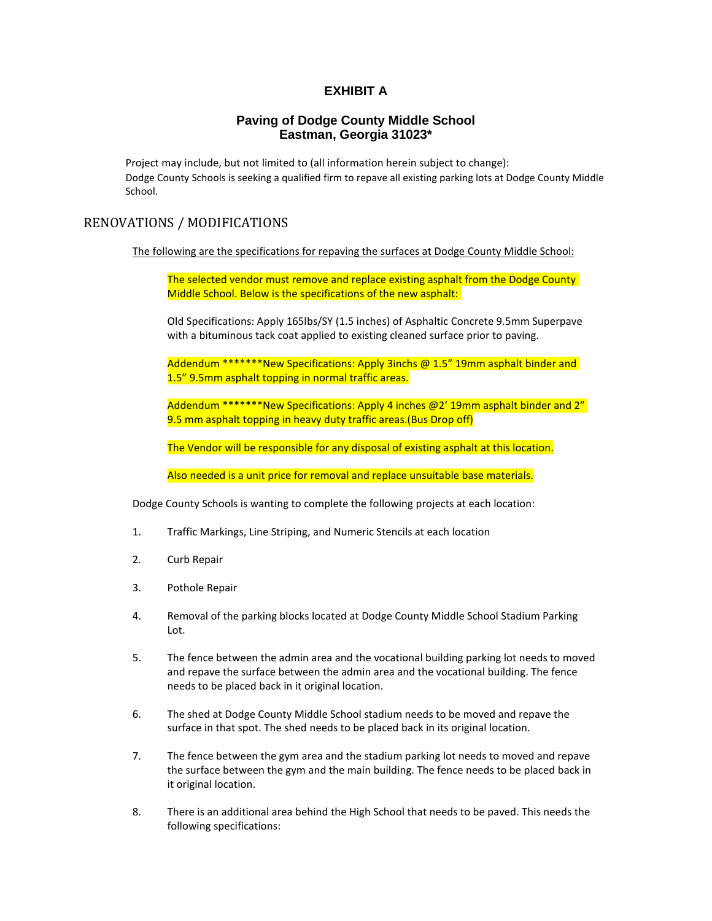# **EXHIBIT A**

# **Paving of Dodge County Middle School Eastman, Georgia 31023\***

Project may include, but not limited to (all information herein subject to change): Dodge County Schools is seeking a qualified firm to repave all existing parking lots at Dodge County Middle School.

# RENOVATIONS / MODIFICATIONS

The following are the specifications for repaving the surfaces at Dodge County Middle School:

The selected vendor must remove and replace existing asphalt from the Dodge County Middle School. Below is the specifications of the new asphalt:

Old Specifications: Apply 165lbs/SY (1.5 inches) of Asphaltic Concrete 9.5mm Superpave with a bituminous tack coat applied to existing cleaned surface prior to paving.

Addendum \*\*\*\*\*\*\*New Specifications: Apply 3inchs @ 1.5" 19mm asphalt binder and 1.5" 9.5mm asphalt topping in normal traffic areas.

Addendum \*\*\*\*\*\*\*New Specifications: Apply 4 inches @2' 19mm asphalt binder and 2" 9.5 mm asphalt topping in heavy duty traffic areas.(Bus Drop off)

The Vendor will be responsible for any disposal of existing asphalt at this location.

Also needed is a unit price for removal and replace unsuitable base materials.

Dodge County Schools is wanting to complete the following projects at each location:

- 1. Traffic Markings, Line Striping, and Numeric Stencils at each location
- 2. Curb Repair
- 3. Pothole Repair
- 4. Removal of the parking blocks located at Dodge County Middle School Stadium Parking Lot.
- 5. The fence between the admin area and the vocational building parking lot needs to moved and repave the surface between the admin area and the vocational building. The fence needs to be placed back in it original location.
- 6. The shed at Dodge County Middle School stadium needs to be moved and repave the surface in that spot. The shed needs to be placed back in its original location.
- 7. The fence between the gym area and the stadium parking lot needs to moved and repave the surface between the gym and the main building. The fence needs to be placed back in it original location.
- 8. There is an additional area behind the High School that needs to be paved. This needs the following specifications: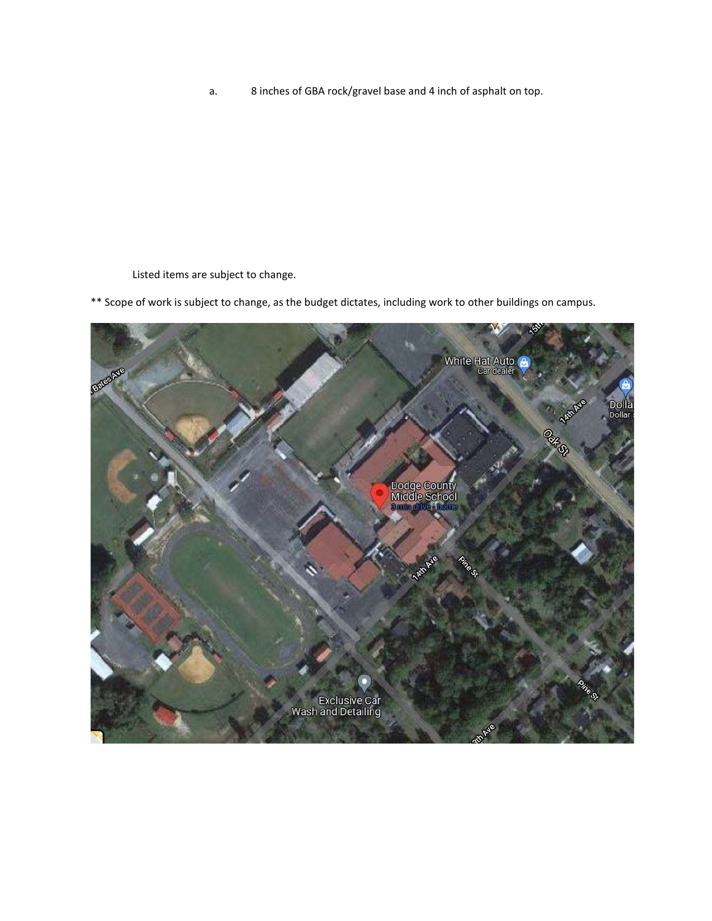a. 8 inches of GBA rock/gravel base and 4 inch of asphalt on top.

Listed items are subject to change.

\*\* Scope of work is subject to change, as the budget dictates, including work to other buildings on campus.

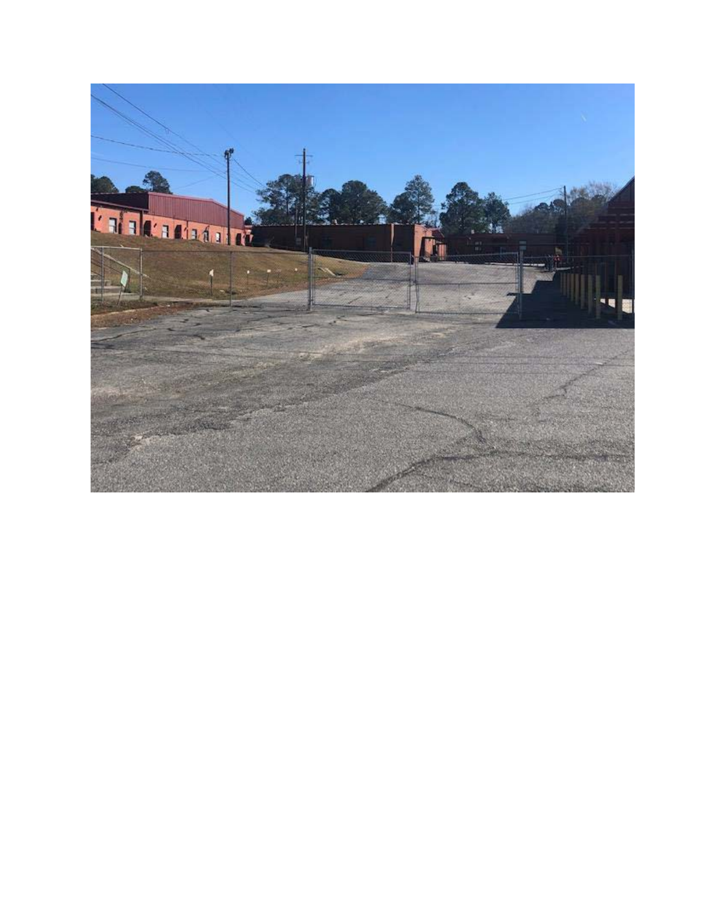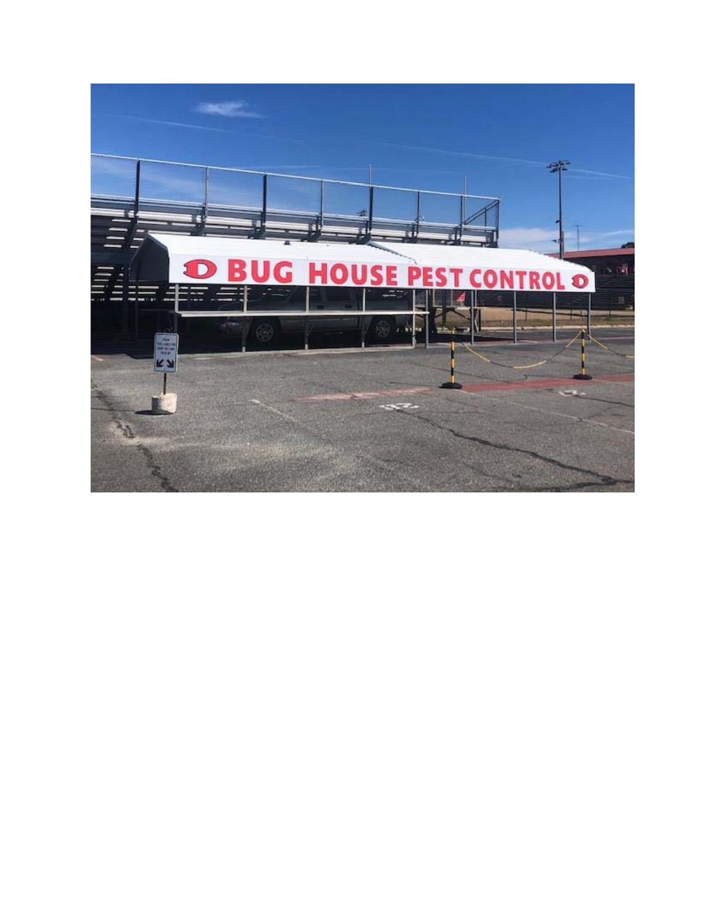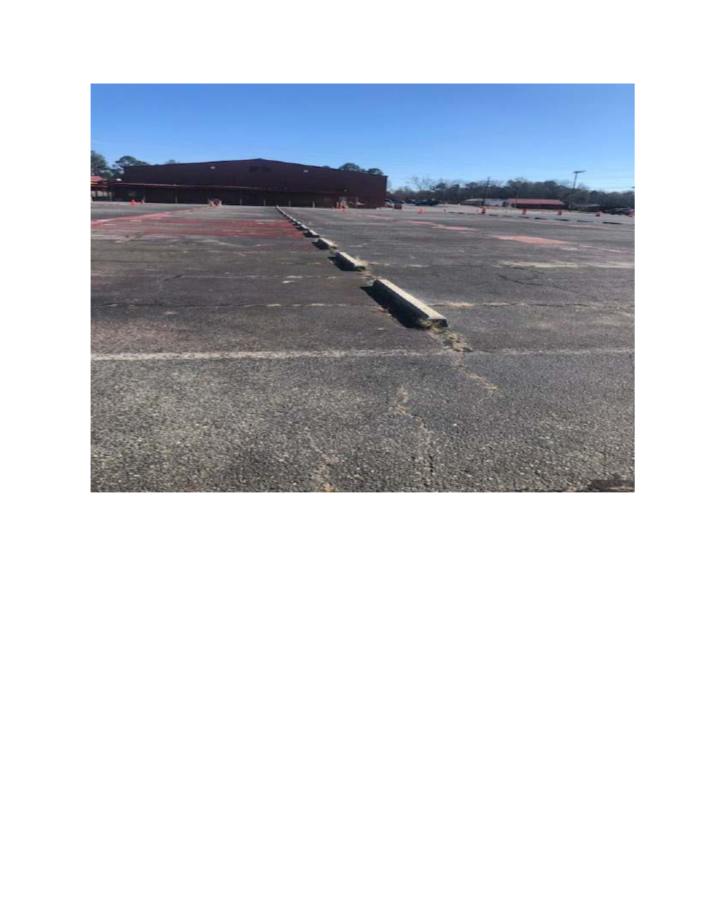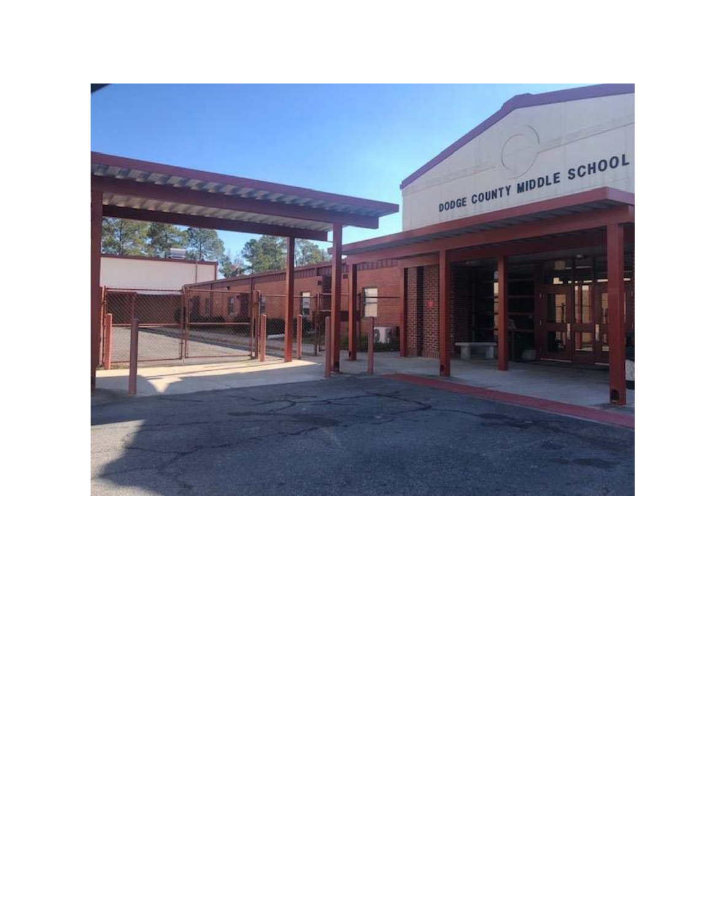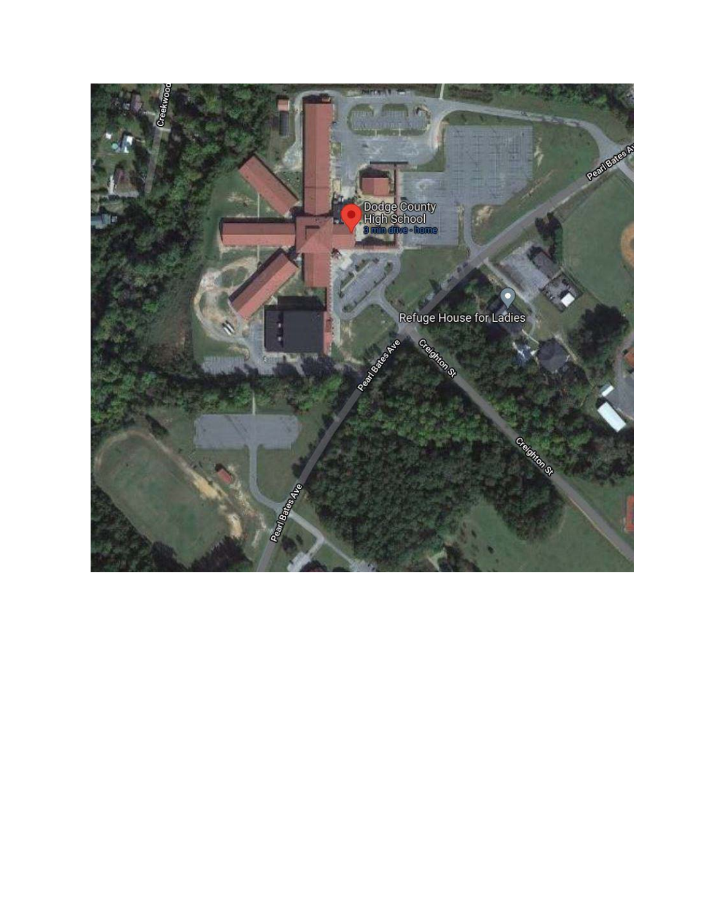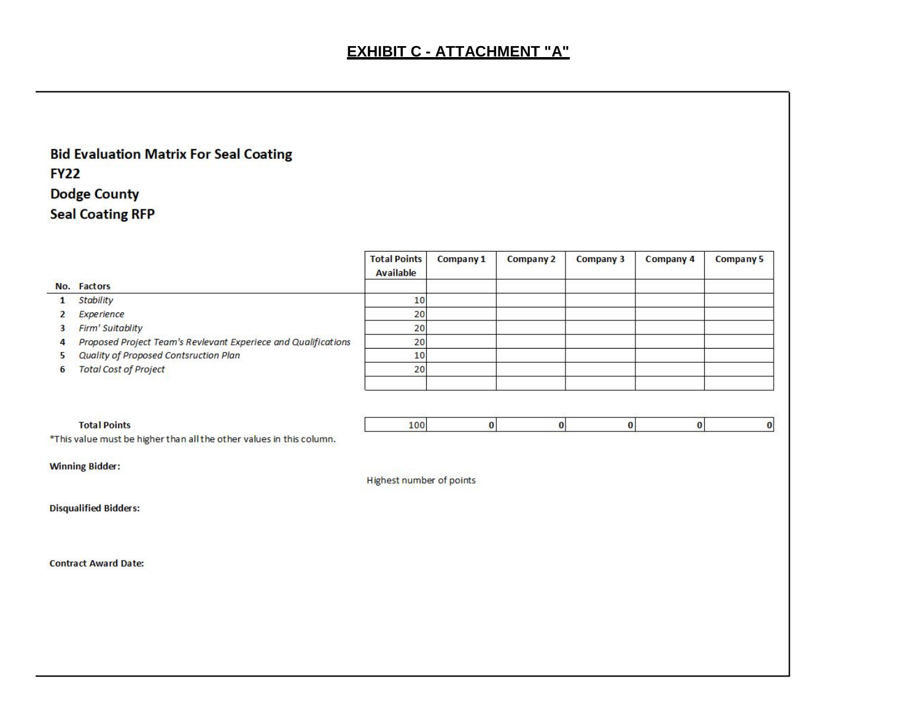# **Bid Evaluation Matrix For Seal Coating FY22 Dodge County Seal Coating RFP**

|                |                                                                | <b>Total Points</b><br>Available | Company 1 | Company 2 | Company 3 | <b>Company 4</b> | Company 5 |
|----------------|----------------------------------------------------------------|----------------------------------|-----------|-----------|-----------|------------------|-----------|
|                | No. Factors                                                    |                                  |           |           |           |                  |           |
|                | Stability                                                      | 10                               |           |           |           |                  |           |
| $\mathbf{2}$   | Experience                                                     | 20                               |           |           |           |                  |           |
| 3              | Firm' Suitablity                                               | 20                               |           |           |           |                  |           |
| $\overline{4}$ | Proposed Project Team's Revlevant Experiece and Qualifications | 20                               |           |           |           |                  |           |
| 5              | Quality of Proposed Contsruction Plan                          | 10                               |           |           |           |                  |           |
| 6              | <b>Total Cost of Project</b>                                   | 20                               |           |           |           |                  |           |
|                |                                                                |                                  |           |           |           |                  |           |

#### **Total Points**

\*This value must be higher than all the other values in this column.

**Winning Bidder:** 

**Highest number of points** 

100

 $\overline{\mathbf{0}}$ 

 $\overline{\mathbf{0}}$ 

 $\overline{\mathbf{0}}$ 

 $\overline{0}$ 

 $\pmb{0}$ 

**Disqualified Bidders:** 

**Contract Award Date:**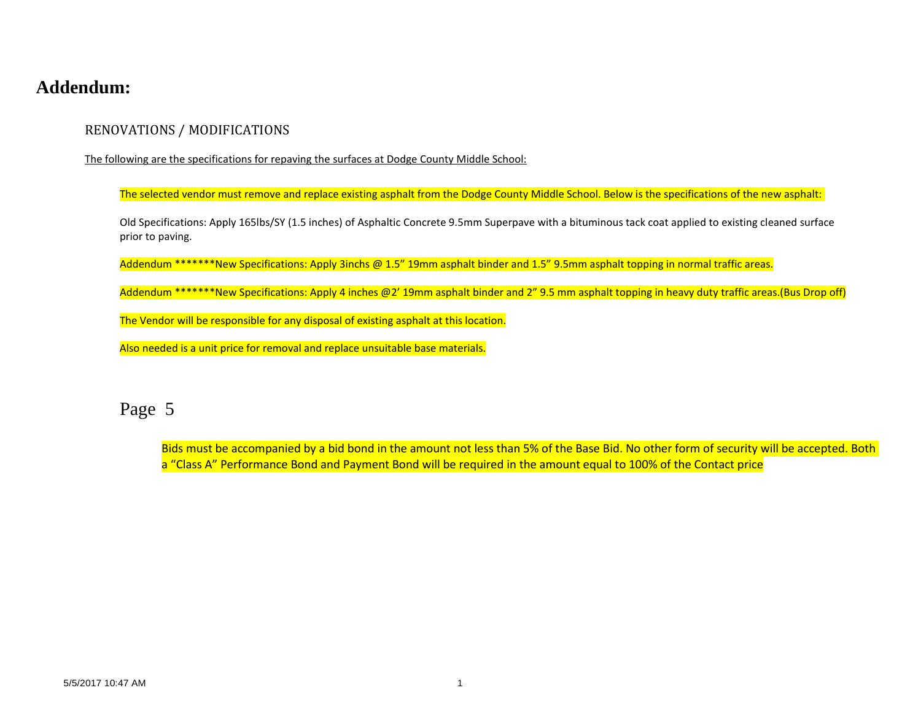# **Addendum:**

# RENOVATIONS / MODIFICATIONS

The following are the specifications for repaving the surfaces at Dodge County Middle School:

The selected vendor must remove and replace existing asphalt from the Dodge County Middle School. Below is the specifications of the new asphalt:

Old Specifications: Apply 165lbs/SY (1.5 inches) of Asphaltic Concrete 9.5mm Superpave with a bituminous tack coat applied to existing cleaned surface prior to paving.

Addendum \*\*\*\*\*\*\*New Specifications: Apply 3inchs @ 1.5" 19mm asphalt binder and 1.5" 9.5mm asphalt topping in normal traffic areas.

Addendum \*\*\*\*\*\*\*New Specifications: Apply 4 inches @2' 19mm asphalt binder and 2" 9.5 mm asphalt topping in heavy duty traffic areas.(Bus Drop off)

The Vendor will be responsible for any disposal of existing asphalt at this location.

Also needed is a unit price for removal and replace unsuitable base materials.

# Page 5

Bids must be accompanied by a bid bond in the amount not less than 5% of the Base Bid. No other form of security will be accepted. Both a "Class A" Performance Bond and Payment Bond will be required in the amount equal to 100% of the Contact price